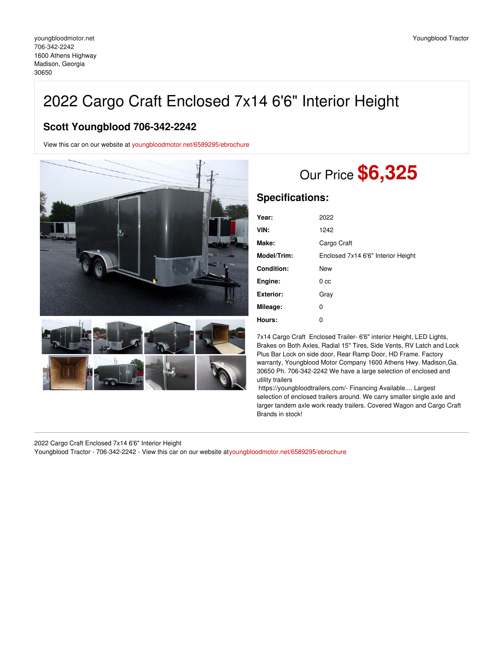## 2022 Cargo Craft Enclosed 7x14 6'6" Interior Height

## **Scott Youngblood 706-342-2242**

View this car on our website at [youngbloodmotor.net/6589295/ebrochure](https://youngbloodmotor.net/vehicle/6589295/2022-cargo-craft-enclosed-7x14-6-6-interior-height-madison-georgia-30650/6589295/ebrochure)





## Our Price **\$6,325**

## **Specifications:**

| Year:            | 2022                               |
|------------------|------------------------------------|
| VIN:             | 1242                               |
| Make:            | Cargo Craft                        |
| Model/Trim:      | Enclosed 7x14 6'6" Interior Height |
| Condition:       | New                                |
| Engine:          | 0 <sub>cc</sub>                    |
| <b>Exterior:</b> | Gray                               |
| Mileage:         | 0                                  |
| Hours:           | 0                                  |

7x14 Cargo Craft Enclosed Trailer- 6'6" interior Height, LED Lights, Brakes on Both Axles, Radial 15" Tires, Side Vents, RV Latch and Lock Plus Bar Lock on side door, Rear Ramp Door, HD Frame. Factory warranty, Youngblood Motor Company 1600 Athens Hwy. Madison,Ga. 30650 Ph. 706-342-2242 We have a large selection of enclosed and utility trailers

https://youngbloodtrailers.com/- Financing Available.... Largest selection of enclosed trailers around. We carry smaller single axle and larger tandem axle work ready trailers. Covered Wagon and Cargo Craft Brands in stock!

2022 Cargo Craft Enclosed 7x14 6'6" Interior Height

Youngblood Tractor - 706-342-2242 - View this car on our website a[tyoungbloodmotor.net/6589295/ebrochure](https://youngbloodmotor.net/vehicle/6589295/2022-cargo-craft-enclosed-7x14-6-6-interior-height-madison-georgia-30650/6589295/ebrochure)